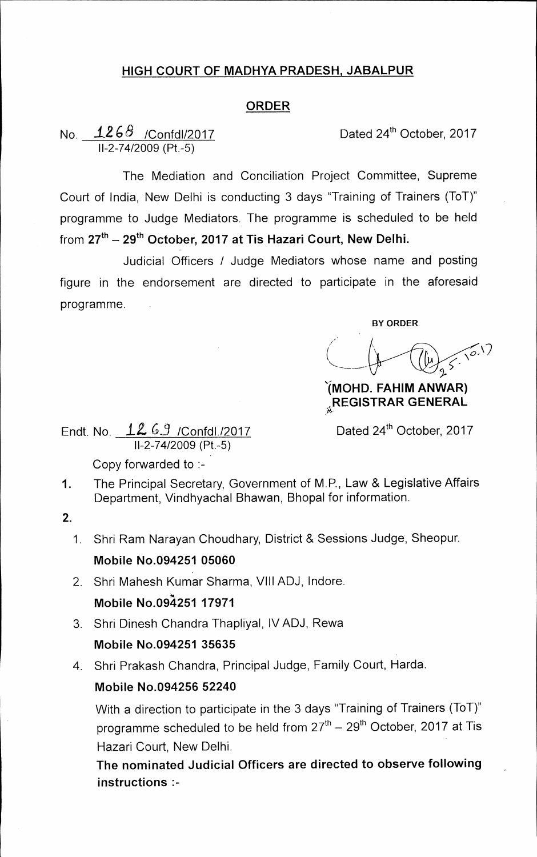## **HIGH COURT OF MADHYA PRADESH, JABALPUR**

## **ORDER**

## No.  $\frac{1268}{ }$  /Confdl/2017 Dated 24<sup>th</sup> October, 2017 11-2-74/2009 (Pt.-5)

The Mediation and Conciliation Project Committee, Supreme Court of India, New Delhi is conducting 3 days "Training of Trainers (ToT)" programme to Judge Mediators. The programme is scheduled to be held from 27<sup>th</sup> – 29<sup>th</sup> October, 2017 at Tis Hazari Court, New Delhi.

Judicial Officers / Judge Mediators whose name and posting figure in the endorsement are directed to participate in the aforesaid programme.

**BY ORDER** 

**'(1/10FID. FAHIM AN WAR) ( REGISTRAR GENERAL** 

Endt. No.  $12.63$  /Confdl./2017 Dated 24<sup>th</sup> October, 2017 11-2-74/2009 (Pt.-5)

Copy forwarded to :-

1. The Principal Secretary, Government of M.P., Law & Legislative Affairs Department, Vindhyachal Bhawan, Bhopal for information.

**2.** 

- 1. Shri Ram Narayan Choudhary, District & Sessions Judge, Sheopur. **Mobile No.094251 05060**
- 2. Shri Mahesh Kumar Sharma, VIII ADJ, Indore. **Mobile No.0921251 17971**
- 3. Shri Dinesh Chandra Thapliyal, IV ADJ, Rewa **Mobile No.094251 35635**

4. Shri Prakash Chandra, Principal Judge, Family Court, Harda.

## **Mobile No.094256 52240**

With a direction to participate in the 3 days "Training of Trainers (ToT)" programme scheduled to be held from 27<sup>th</sup> – 29<sup>th</sup> October, 2017 at Tis Hazari Court, New Delhi.

**The nominated Judicial Officers are directed to observe following instructions :-**